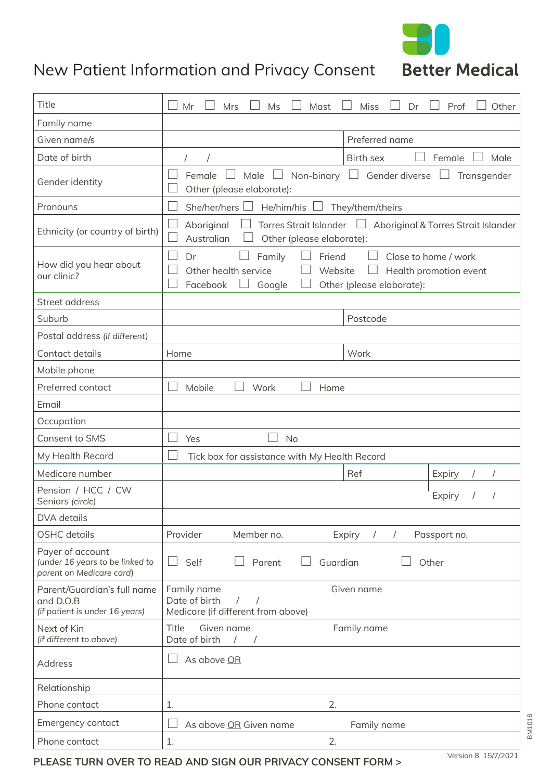

## New Patient Information and Privacy Consent Better Medical

| Title                                                                           | Mr<br>Mrs<br>Ms<br>Mast<br><b>Miss</b><br>Dr<br>Prof<br>Other                                                                                                  |
|---------------------------------------------------------------------------------|----------------------------------------------------------------------------------------------------------------------------------------------------------------|
| Family name                                                                     |                                                                                                                                                                |
| Given name/s                                                                    | Preferred name                                                                                                                                                 |
| Date of birth                                                                   | <b>Birth sex</b><br>Female<br>Male<br>$\sqrt{2}$                                                                                                               |
| Gender identity                                                                 | $\Box$ Non-binary $\Box$ Gender diverse<br>Male<br>Female<br>Transgender<br>$\perp$<br>Other (please elaborate):                                               |
| Pronouns                                                                        | She/her/hers $\Box$ He/him/his $\Box$ They/them/theirs                                                                                                         |
| Ethnicity (or country of birth)                                                 | Torres Strait Islander □ Aboriginal & Torres Strait Islander<br>Aboriginal<br>Australian<br>Other (please elaborate):                                          |
| How did you hear about<br>our clinic?                                           | Family<br>Friend<br>Dr<br>Close to home / work<br>Other health service<br>Website<br>Health promotion event<br>Facebook<br>Other (please elaborate):<br>Google |
| Street address                                                                  |                                                                                                                                                                |
| Suburb                                                                          | Postcode                                                                                                                                                       |
| Postal address (if different)                                                   |                                                                                                                                                                |
| Contact details                                                                 | Work<br>Home                                                                                                                                                   |
| Mobile phone                                                                    |                                                                                                                                                                |
| Preferred contact                                                               | Mobile<br>Work<br>Home                                                                                                                                         |
| Email                                                                           |                                                                                                                                                                |
| Occupation                                                                      |                                                                                                                                                                |
| Consent to SMS                                                                  | <b>No</b><br>Yes                                                                                                                                               |
| My Health Record                                                                | Tick box for assistance with My Health Record                                                                                                                  |
| Medicare number                                                                 | Ref<br>Expiry                                                                                                                                                  |
| Pension / HCC / CW<br>Seniors (circle)                                          | Expiry                                                                                                                                                         |
| DVA details                                                                     |                                                                                                                                                                |
| <b>OSHC</b> details                                                             | Provider<br>Member no.<br>Passport no.<br>Expiry<br>$\sqrt{2}$                                                                                                 |
| Payer of account<br>(under 16 years to be linked to<br>parent on Medicare card) | Self<br>Guardian<br>Parent<br>Other<br>$\blacksquare$                                                                                                          |
| Parent/Guardian's full name<br>and D.O.B<br>(if patient is under 16 years)      | Family name<br>Given name<br>Date of birth<br>Medicare (if different from above)                                                                               |
| Next of Kin<br>(if different to above)                                          | Title<br>Given name<br>Family name<br>Date of birth                                                                                                            |
| <b>Address</b>                                                                  | As above OR                                                                                                                                                    |
| Relationship                                                                    |                                                                                                                                                                |
| Phone contact                                                                   | 2.<br>1.                                                                                                                                                       |
| Emergency contact                                                               | As above OR Given name<br>Family name                                                                                                                          |
| Phone contact                                                                   | 2.<br>1.                                                                                                                                                       |

**PLEASE TURN OVER TO READ AND SIGN OUR PRIVACY CONSENT FORM >** Version 8 15/7/2021

**BM1018** BM1018